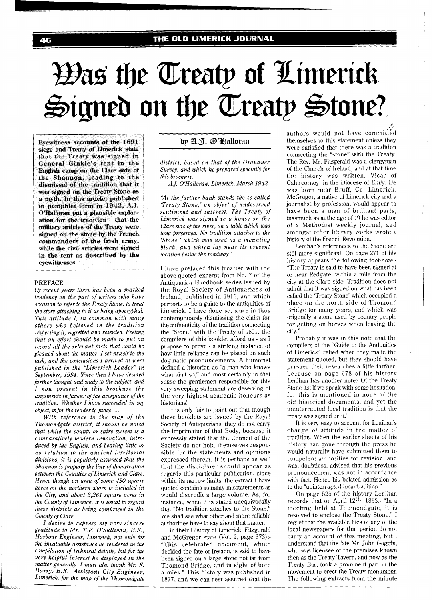# Was the Treaty of Limerick Signed on the Treaty Stone?

**Eyewitness accounts of the 1691**  siege and Treaty of Limerick state **that the Treaty was signed in General Ginkle's tent in the English camp on the Clare side of the Shannon, leading to the dismissal of the tradition that it was signed on the Treaty Stone as a myth. In this articie, published in pamphlet form in 1942, A.J. O'Halloran put a plausible explanation for the tradition** - **that the military articles of the Treaty were signed on the stone by the French commanders of the Irish army, while the civil articles were signed in the tent as described by the eyewitnesses.** 

#### *PREFACE*

*Of recent years there has been a marked tendency on the part of writers who have occasion to refer to the Treaty Stone, to treat the story attaching to it as being apocryphal. This attitude I, in common with many others who believed in the tradition respecting it, regretted and resented. Feeling that an efhort should be made to put on record all the relevant facts that could be gleaned about the matter, I set myself to the task, and the conclusions I arrived at were published in the "Limerick Leader" in September, 1934. Since then* I *have devoted hrther thought and study to the subject, and I now present in this brochure the arguments in favour of the acceptance ofthe tradition. Whether I have succeeded in my object, is for the reader to judge.* ...

*With reference to the map of the Thomondgate district, it should be noted that while the county or shire system is a comparatively modern innovation, introduced by the English, and bearing little or no relation to the ancient territorial divisions, it is popularly assumed that the Shannon* is *properly the line of demarcation between the Counties of Limerick and Clare. Hence though an area of some 430 square acres on the northern shore is included in the City, and about 3,261 square acres in the County of Limerick, it is usual to regard these districts as being comprised in the County of Clare.* 

*I desire to express my very sincere gratitude to Mr. T.F. O'Sullivan, B.E., Harbour Engineer, Limerick, not only for the invaluable assistance he rendered in the compilation of technical details, but for the very helpful interest he displayed in the matter generally. I must also thank Mr. E.*   $Barry, B.E., Assistant City Engineering,$ *Limerick, for the map of the Thomondgate* 

## by A.T. @'Halloran

*district, based on that of the Ordnance Survey, and which he prepared specially for this brochure.* 

*A. J. O'Halloran, Limerick, March 1942.* 

*'IAt the further bank stands the so-called 'Treaty Stone,' an object of undeserved sentiment and interest. The Treaty of Limerick was signed in a house on the Clare side of the river, on a table which was long preserved. No tradition attaches to the 'Stone,' which was used as a mounting block, and which lay near its present location beside the roadway."* 

I have prefaced this treatise with the above-quoted excerpt from No. 7 of the Antiquarian Handbook series issued by the Royal Society of Antiquarians of Ireland, published in 1916, and which purports to be a guide to the antiquities of Limerick. I have done so, since in thus contemptuously dismissing the claim for the authenticity of the tradition connecting the "Stone" with the Treaty of 1691, the compilers of this booklet afford us - as I propose to prove - a striking instance of how little reliance can be placed on such dogmatic pronouncements. A humorist defined a historian as "a man who knows what ain't so," and most certainly in that sense the gentlemen responsible for this very sweeping statement are deserving of the very highest academic honours as historians!

It is only fair to point out that though these booklets are issued by the Royal Society of Antiquarians, they do not carry the imprimatur of that Body, because it expressly stated that the Council of the Society do not hold themselves responsible for the statements and opinions expressed therein. It is perhaps as well that the disclaimer should appear as regards this particular publication, since within its narrow limits, the extract I have quoted contains as many misstatements as would discredit a large volume. As, for instance, when it is stated unequivocally that "No tradition attaches to the Stone." We shall see what other and more reliable authorities have to say about that matter.

In their History of Limerick, Fitzgerald and McGregor state (Vol. 2, page 373):- "This celebrated document, which decided the fate of Ireland, is said to have been signed on a large stone not far from Thomond Bridge, and in sight of both armies." This history was published in 1827, and we can rest assured that the authors would not have committed themselves to this statement unless they were satisfied that there was a tradition connecting the "stone" with the Treaty. The Rev. Mr. Fitzgerald was a clergyman of the Church of Ireland, and at that time the history was written, Vicar of Cahircorney, in the Diocese of Emly. He was born near Bruff, Co. Limerick. McGregor, a native of Limerick city and a journalist by profession, would appear to have been a man of brilliant parts, inasmuch as at the age of 19 he was editor of a Methodist weekly journal, and amongst other literary works wrote a history of the French Revolution.

**I'** 

Lenihan's references to the Stone are still more significant. On page 271 of his history appears the following foot-note:- 'The Treaty is said to have been signed at or near Redgate, within a mile from the city at the Clare side. Tradition does not admit that it was signed on what has been called the 'Treaty Stone' which occupied a place on the north side of Thomond Bridge for many years, and which was originally a stone used by country people for getting on horses when leaving the citv."

Probably it was in this note that the compilers of the "Guide to the Antiquities of Limerick" relied when they made the statement quoted, but they should have pursued their researches a little further, because on page 678 of his history Lenihan has another note:- 01 the Treaty Stone itself we speak with some hesitation, for this is mentioned in none of the old historical documents, and yet the uninterrupted local tradition is that the treaty was signed on it."

It is very easy to account for Lenihan's change of attitude in the matter of tradition. When the earlier sheets of his history had gone through the press he would naturally have submitted them to competent authorities for revision, and was, doubtless, advised that his previous pronouncement was not in accordance with fact. Hence his belated admission as to the "uninterrupted local tradition."

On page 525 of the history Lenihan records that on April  $12<sup>th</sup>$ , 1863:- "In a meeting held at Thomondgate, it is resolved to enclose the Treaty Stone." I regret that the available files of any of the local newspapers for that period do not carry an account of this meeting, but I understand that the late Mr. John Goggin, who was licensee of the premises known then as the Treaty Tavern, and now as the Treaty Bar, took a prominent part in the movement to erect the Treaty monument. The following extracts from the minute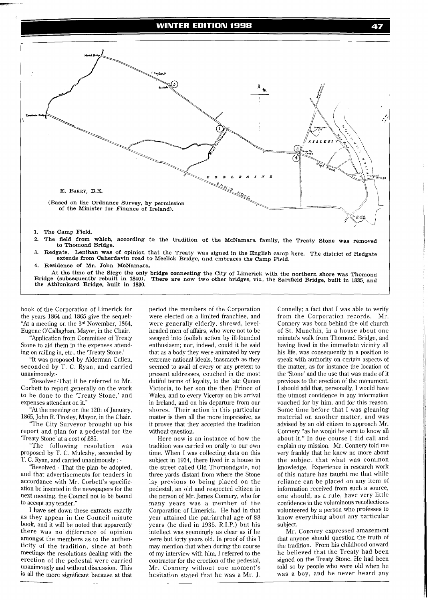#### **WINTER EDITION 1998**



4. Residence of Mr. John McNamara.

At the time of the Siege the only bridge connecting the City of Limerick with the northern shore was Thomond Bridge (subsequently rebuilt in 1840). There are now two other bridges, viz. the Sarsfield Bridge built in 1835, There are now two other bridges, viz., the Sarsfield Bridge, built in 1835, and the Athlunkard Bridge, built in **1830.** 

book of the Corporation of Limerick for the years 1864 and 1865 give the sequel:- "At a meeting on the **3"'** November, 1864, Eugene O'Callaghan, Mayor, in the Chair.

"Application from Committee of Treaty Stone to aid them in the expenses attending on railing in, etc., the 'Treaty Stone.

"It was proposed by Alderman Cullen, seconded by T. C. Ryan, and carried unanimously:-

"Resolved-That it be referred to Mr. Corbett to report generally on the work to be done to the 'Treaty Stone,' and expenses attendant on it."

"At the meeting on the 12th of January, 1865, John R. Tinsley, Mayor, in the Chair.

"The City Surveyor brought up his report and plan for a pedestal for the Treaty Stone' at a cost of £85.

"The following resolution was proposed by T. C. Mulcahy, seconded by T. C. Ryan, and carried unanimously : -

"Resolved - That the plan be adopted, and that advertisements for tenders in accordance with Mr. Corbett's specification be inserted in the newspapers for the next meeting, the Council not to be bound to accept any tender."

I have set down these extracts exactly as they appear in the Council minute book, and it will be noted that apparently there was no difference of opinion amongst the members as to the authenticity of the tradition, since at both meetings the resolutions dealing with the erection of the pedestal were carried unanimously and without discussion. This is all the more significant because at that

period the members of the Corporation were elected on a limited franchise, and were generally elderly, shrewd, levelheaded men of affairs, who were not to be swayed into foolish action by ill-founded enthusiasm; nor, indeed, could it be said that as a body they were animated by very extreme national ideals, inasmuch as they seemed to avail of every or any pretext to present addresses, couched in the most dutiful terms of loyalty, to the late Queen Victoria, to her son the then Prince of Wales, and to every Viceroy on his arrival in Ireland, and on his departure from our shores. Their action in this particular matter is then all the more impressive, as it proves that they accepted the tradition without question.

Here now is an instance of how the tradition was carried on orally to our own time. When I was collecting data on this subject in 1934, there lived in a house in the street called Old Thomondgate, not three yards distant from where the Stone lay previous to being placed on the pedestal, an old and respected citizen in the person of Mr. James Connery, who for many years was a member of the Corporation of Limerick. He had in that year attained the patriarchal age of 88 years (he died in 1935. R.I.P.) but his intellect was seemingly as clear as if he were but forty years old. In proof of this I may mention that when during the course of my interview with him, I referred to the contractor for the erection of the pedestal, Mr. Connery without one moment's hesitation stated that he was a Mr. J.

Connelly; a fact that I was able to verify from the Corporation records. Mr. Connery was born behind the old church of St. Munchin, in a house about one minute's walk from Thomond Bridge, and having lived in the immediate vicinity all his life, was consequently in a position to speak with authority on certain aspects of the matter, as for instance the location of the 'Stone' and the use that was made of it previous to the erection of the monument. I should add that, personally, I would have the utmost confidence in any information vouched for by him, and for this reason. Some time before that I was gleaning material on another matter, and was advised by an old citizen to approach Mr. Connery "as he would be sure to know all about it." In due course I did call and explain my mission. Mr. Connery told me very frankly that he knew no more about the subject that what was common knowledge. Experience in research work of this nature has taught me that while reliance can be placed on any item of information received from such a source, one should, as a rule, have very little confidence in the voluminous recollections volunteered by a person who professes to know everything about any particular subject.

47

Mr. Connery expressed amazement that anyone should question the truth of the tradition. From his childhood onward he believed that the Treaty had been signed on the Treaty Stone. He had been told so by people who were old when he was a boy, and he never heard any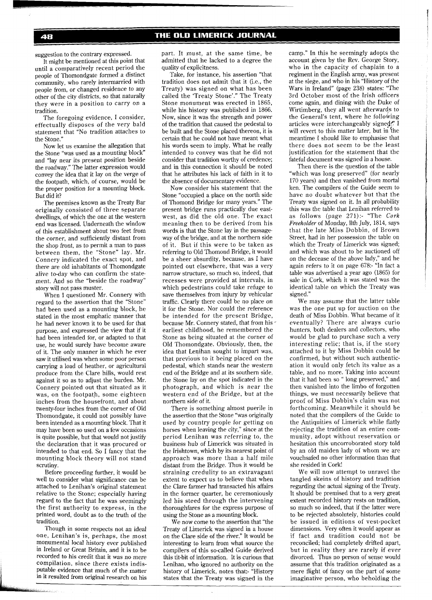suggestion to the contrary expressed.

It might be mentioned at this point that until a comparatively recent period the people of Thomondgate formed a distinct community, who rarely intermarried with people from, or changed residence to any other of the city districts, so that naturally they were in a position to carry on a tradition.

The foregoing evidence, I consider, effectually disposes of the very bald statement that "No tradition attaches to the Stone."

Now let us examine the allegation that the Stone "was used as a mounting block and "lay near its present position beside the roadway." The latter expression would convey the idea that it lay on the verge of the footpath, which, of course, would be the proper position for a mounting block. But did it?

The premises known as the Treaty Bar originally consisted of three separate dwellings, of which the one at the western end was licensed. Underneath the window of this establishment about two feet from the corner, and sufficiently distant from the shop front, as to permit a man to pass between them, the "Stone" lay. Mr. Connery indicated the exact spot, and there are old inhabitants of Thomondgate alive to-day who can confirm the statement. And so the "beside the roadway" story will not pass muster.

When I questioned Mr. Connery with regard to the assertion that the "Stone" had been used as a mounting block, he stated in the most emphatic manner that he had never known it to be used for that purpose, and expressed the view that if it had been intended for, or adapted to that use, he would surely have become aware of it. The only manner in which he ever saw it utilised was when some poor person carrying a load of heather, or agricultural produce from the Clare hills, would rest against it so as to adjust the burden. Mr. Connery pointed out that situated as it was, on the footpath, some eighteen inches from the housefront, and about twenty-four inches from the corner of Old Thomondgate, it could not possibly have been intended as a mounting block. That it may have been so used on a few occasions is quite possible, but that would not justify the declaration that it was procured or intended to that end. So I fancy that the mounting block theory will not stand scrutiny.

Before proceeding further, it would be well to consider what significance can be attached to Lenihan's original statement relative to the Stone; especially having regard to the fact that he was seemingly the first authority to express, in the printed word, doubt as to the truth of the tradition.

Though in some respects not an ideal one, Lenihan's is, perhaps, the most monumental local history ever published in Ireland or Great Britain, and it is to be recorded to his credit that it was no mere compilation, since there exists indisputable evidence that much of the matter in it resulted from original research on his part. It must, at the same time, be admitted that he lacked to a degree the quality of explicitness.

Take, for instance, his assertion "that tradition does not admit that it (i.e., the Treaty) was signed on what has been called the 'Treaty Stone'." The Treaty Stone monument was erected in 1865, while his history was published in 1866. Now, since it was the strength and power of the tradition that caused the pedestal to be built and the Stone placed thereon, it is certain that he could not have meant what his words seem to imply. What he really intended to convey was that he did not consider that tradition worthy of credence; and in this connection it should be noted that he attributes his lack of faith in it to the absence of documentary evidence.

Now consider his statement that the Stone "occupied a place on the north side of Thomond Bridge for many years." The present bridge runs practically due eastwest, as did the old one. The exact meaning then to be derived from his words is that the Stone lay in the passageway of the bridge, and at the northern side of it. But if this were to be taken as referring to Old Thomond Bridge, it would be a sheer absurdity, because, as I have pointed out elsewhere, that was a very narrow structure, so much so, indeed, that recesses were provided at intervals, in which pedestrians could take refuge to save themselves from injury by vehicular traffic. Clearly there could be no place on it for the Stone. Nor could the reference be intended for the present Bridge, because Mr. Connery stated, that from his earliest childhood, he remembered the Stone as being situated at the corner of Old Thomondgate. Obviously, then, the idea that Lenihan sought to impart was, that previous to it being placed on the pedestal, which stands near the western end of the Bridge and at its southern side, the Stone lay on the spot indicated in the photograph, and which is near the western end of the Bridge, but at the northern side of it.

There is something almost puerile in the assertion that the Stone "was originally used by country people for getting on horses when leaving the city," since at the period Lenihan was referring to, the business hub of Limerick was situated in the Irishtown, which by its nearest point of approach was more than a half mile distant from the Bridge. Thus it would be straining credulity to an extravagant extent to expect us to believe that when the Clare farmer had transacted his affairs in the former quarter, he ceremoniously led his steed through the intervening thoroughfares for the express purpose of using the Stone as a mounting block.

We now come to the assertion that "the Treaty of Limerick was signed in a house on the Clare side of the river." It would be interesting to learn from what source the compilers of this so-called Guide derived this tit-bit of information. It is curious that Lenihan, who ignored no authority on the history of Limerick, notes that:- "History states that the Treaty was signed in the camp." In this he seemingly adopts the account given by the Rev. George Story, who in the capacity of chaplain to a regiment in the English army, was present at the siege, and who in his "History of the Wars in Ireland" (page 238) states: "The 3rd October most of the Irish officers come again, and dining with the Duke of Wirtimberg, they all went afterwards to the General's tent, where he following articles were interchangeably signed." I will revert to this matter later, but in 'the meantime I should like to emphasise that there does not seem to be the least justification for the statement that the fateful document was signed in a house.

Then there is the question of the table "which was long preserved" (for nearly 170 years) and then vanished from mortal ken. The compilers of the Guide seem to have no doubt whatever but that the Treaty was signed on it. In all probability this was the table that Lenihan referred to as follows (page 271):- "The *Cork Freeholder* of Monday, 11th July, 1814, says that the late Miss Dobbin, of Brown Street, had in her possession the table on which the Treaty of Limerick was signed; and which was about to be auctioned off on the decease of the above lady," and he again refers to it on page 678:- "In fact a table was advertised a year ago (1865) for sale in Cork, which it was stated was the identical table on which the Treaty was signed."

We may assume that the latter table was the one put up for auction on the death of Miss Dobbin. What became of it eventually? There are always curio hunters, both dealers and collectors, who would be glad to purchase such a very interesting relic; that is, if the story attached to it by Miss Dobbin could be confirmed, but without such authentication it would only fetch its value as a table, and no more. Taking into account that it had been so " long preserved," and then vanished into the limbo of forgotten things, we must necessarily believe that proof of Miss Dobbin's claim was not forthcoming. Meanwhile it should be noted that the compilers of the Guide to the Antiquities of Limerick while flatly rejecting the tradition of an entire community, adopt without reservation or hesitation this uncorroborated story told by an old maiden lady of whom we are vouchsafed no other information than that she resided in Cork!

We will now attempt to unravel the tangled skeins of history and tradition regarding the actual signing of the Treaty. It should be premised that to a very great extent recorded history rests on tradition, so much so indeed, that if the latter were to be rejected absolutely, histories could be issued in editions of vest-pocket dimensions. Very often it would appear as if fact and tradition could not be reconciled; had completely drifted apart, but in reality they are rarely if ever divorced. Thus no person of sense would assume that this tradition originated as a mere flight of fancy on the part of some imaginative person, who beholding the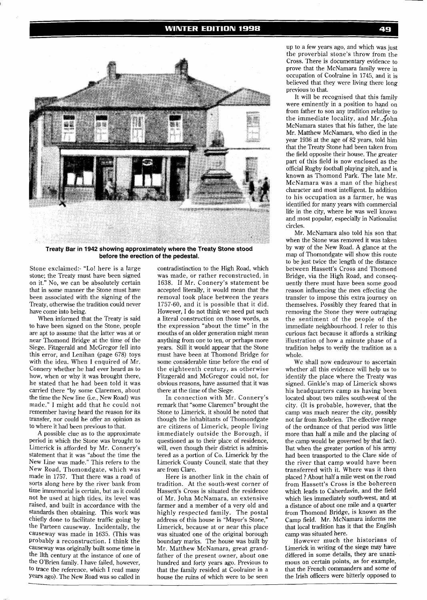#### **WINTER EDITION 1998**



**Treaty Bar in 1942 showing approximately where the Treaty Stone stood before the erection of the pedestal.** 

Stone exclaimed:- "Lo! here is a large stone; the Treaty must have been signed on it." No, we can be absolutely certain that in some manner the Stone must have been associated with the signing of the Treaty, otherwise the tradition could never have come into being.

When informed that the Treaty is said to have been signed on the Stone, people are apt to assume that the latter was at or near Thomond Bridge at the time of the Siege. Fitzgerald and McGregor fell into this error, and Lenihan (page 678) toys with the idea. When I enquired of Mr. Connery whether he had ever heard as to how, when or why it was brought there, he stated that he had been told it was carried there "by some Claremen, about the time the New line (i.e., New Road) was made." I might add that he could not remember having heard the reason for its transfer, nor could he offer an opinion as to where it had been previous to that.

A possible clue as to the approximate period in which the Stone was brought to Limerick is afforded by Mr. Connery's statement that it was "about the time the New Line was made." This refers to the New Road, Thomondgate, which was made in 1757. That there was a road of sorts along here by the river bank from time immemorial is certain, but as it could not be used at high tides, its level was raised, and built in accordance with the standards then obtaining. This work was chiefly done to facilitate traffic going by the Parteen causeway. Incidentally, the causeway was made in 1635. (This was Probably a reconstruction. I think the causeway was originally built some time in the 11th century at the instance of one of the O'Brien family. I have failed, however, to trace the reference, which I read many Years ago). The New Road was so called in

contradistinction to the High Road, which was made, or rather reconstructed, in 1638. If Mr. Connery's statement be accepted literally, it would mean that the removal took place between the years 1757-60, and it is possible that it did. However, I do not think we need put such a literal construction on those words, as the expression "about the time" in the mouths of an older generation might mean anything from one to ten, or perhaps more years. Still it would appear that the Stone must have been at Thomond Bridge for some considerable time before the end of the eighteenth century, as otherwise Fitzgerald and McGregor could not, for obvious reasons, have assumed that it was there at the time of the Siege.

In connection with Mr. Connery's remark that "some Claremen" brought the Stone to Limerick, it should be noted that though the inhabitants of Thomondgate are citizens of Limerick, people living immediately outside the Borough, if questioned as to their place of residence, will, even though their district is administered as a portion of Co. Limerick by the Limerick County Council, state that they are from Clare.

Here is another link in the chain of tradition. At the south-west corner of Hassett's Cross is situated the residence of Mr. John McNamara, an extensive farmer and a member of a very old and highly respected family. The postal address of this house is "Mayor's Stone," Limerick, because at or near this place was situated one of the original borough boundary marks. The house was built by Mr. Matthew McNamara, great grandfather of the present owner, about one hundred and forty years ago. Previous to that the family resided at Coolraine in a house the ruins of which were to be seen

up to a few years ago, and which was just the proverbial stone's throw from the Cross. There is documentary evidence to prove that the McNamara family were in occupation of Coolraine in 1745, and it is believed that they were living there long previous to that.

It will be recognised that this family were eminently in a position to hand on from father to son any tradition relative to the immediate locality, and Mr...fohn McNamara states that his father, the late Mr. Matthew McNamara, who died in the year 1936 at the age of 82 years, told him that the Treaty Stone had been taken from the field opposite their house. The greater part of this field is now enclosed as the official Rugby football playing pitch, and is known as Thomond Park. The late Mr. McNamara was a man of the highest character and most intelligent. In addition to his occupation as a farmer, he was identified for many years with commercial life in the city, where he was well known and most popular, especially in Nationalist circles.

Mr. McNamara also told his son that when the Stone was removed it was taken by way of the New Road. A glance at the map of Thomondgate will show this route to be just twice the length of the distance between Hassett's Cross and Thomond Bridge, via the High Road, and consequently there must have been some good reason influencing the men effecting the transfer to impose this extra journey on themselves. Possibly they feared that in removing the Stone they were outraging the sentiment of the people of the immediate neighbourhood. I refer to this curious fact because it affords a striking illustration of how a minute phase of a tradition helps to verify the tradition as a whole.

We shall now endeavour to ascertain whether all this evidence will help us to identify the place where the Treaty was signed. Ginkle's map of Limerick shows his headquarters camp as having been located about two miles south-west of the city. (It is probable, however, that the camp was much nearer the city, possibly not far from Rosbrien. The effective range of the ordnance of that period was little more than half a mile and the placing of the camp would be governed by that fact). But when the greater portion of his army had been transported to the Clare side of the river that camp would have been transferred with it. Where was it then placed ? About half a mile west on the road from Hassett's Cross is the bohereen which leads to Caherdavin, and the field which lies immediately south-west, and at a distance of about one mile and a quarter from Thomond Bridge, is known as the Camp field. Mr. McNamara informs me that local tradition has it that the English camp was situated here.

However much the historians of Limerick in writing of the siege may have differed in some details, they are unanimous on certain points, as for example, that the French commanders and some of the Irish officers were bitterly opposed to